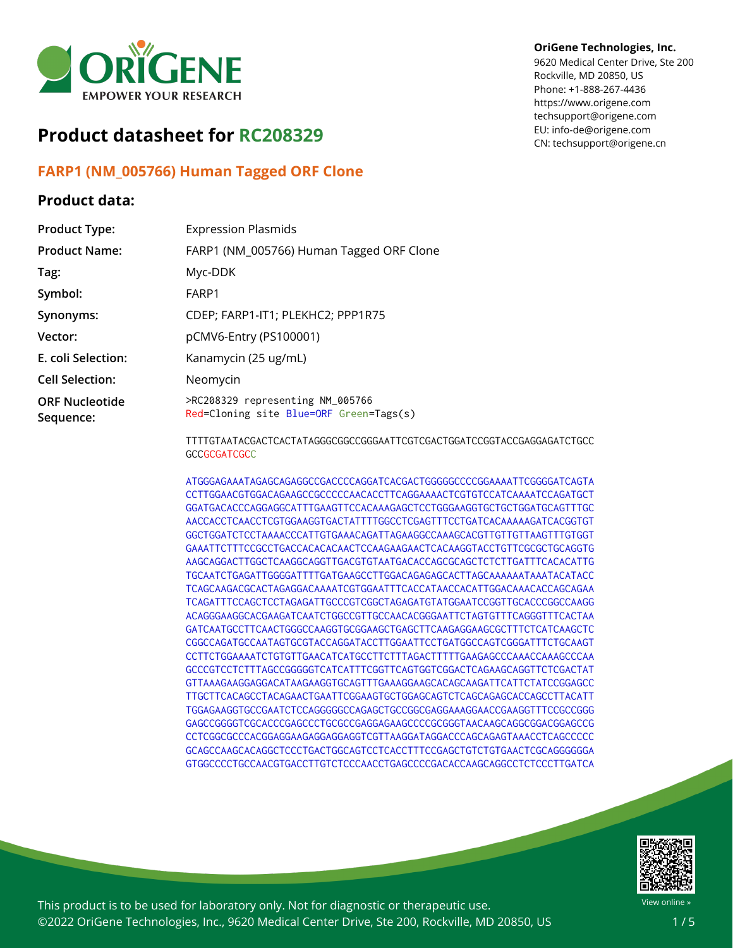

# **Product datasheet for RC208329**

# **FARP1 (NM\_005766) Human Tagged ORF Clone**

## **Product data:**

#### **OriGene Technologies, Inc.**

9620 Medical Center Drive, Ste 200 Rockville, MD 20850, US Phone: +1-888-267-4436 https://www.origene.com techsupport@origene.com EU: info-de@origene.com CN: techsupport@origene.cn

| <b>Product Type:</b>               | <b>Expression Plasmids</b>                                                  |
|------------------------------------|-----------------------------------------------------------------------------|
| <b>Product Name:</b>               | FARP1 (NM_005766) Human Tagged ORF Clone                                    |
| Tag:                               | Myc-DDK                                                                     |
| Symbol:                            | FARP1                                                                       |
| Synonyms:                          | CDEP; FARP1-IT1; PLEKHC2; PPP1R75                                           |
| Vector:                            | pCMV6-Entry (PS100001)                                                      |
| E. coli Selection:                 | Kanamycin (25 ug/mL)                                                        |
| <b>Cell Selection:</b>             | Neomycin                                                                    |
| <b>ORF Nucleotide</b><br>Sequence: | >RC208329 representing NM_005766<br>Red=Cloning site Blue=ORF Green=Tags(s) |

TTTTGTAATACGACTCACTATAGGGCGGCCGGGAATTCGTCGACTGGATCCGGTACCGAGGAGATCTGCC **GCCGCGATCGCC** 

ATGGGAGAAATAGAGCAGAGGCCGACCCCAGGATCACGACTGGGGGCCCCGGAAAATTCGGGGATCAGTA CCTTGGAACGTGGACAGAAGCCGCCCCCAACACCTTCAGGAAAACTCGTGTCCATCAAAATCCAGATGCT GGATGACACCCAGGAGGCATTTGAAGTTCCACAAAGAGCTCCTGGGAAGGTGCTGCTGGATGCAGTTTGC AACCACCTCAACCTCGTGGAAGGTGACTATTTTGGCCTCGAGTTTCCTGATCACAAAAAGATCACGGTGT GGCTGGATCTCCTAAAACCCATTGTGAAACAGATTAGAAGGCCAAAGCACGTTGTTGTTAAGTTTGTGGT GAAATTCTTTCCGCCTGACCACACACAACTCCAAGAAGAACTCACAAGGTACCTGTTCGCGCTGCAGGTG AAGCAGGACTTGGCTCAAGGCAGGTTGACGTGTAATGACACCAGCGCAGCTCTCTTGATTTCACACATTG TGCAATCTGAGATTGGGGATTTTGATGAAGCCTTGGACAGAGAGCACTTAGCAAAAAATAAATACATACC TCAGCAAGACGCACTAGAGGACAAAATCGTGGAATTTCACCATAACCACATTGGACAAACACCAGCAGAA TCAGATTTCCAGCTCCTAGAGATTGCCCGTCGGCTAGAGATGTATGGAATCCGGTTGCACCCGGCCAAGG ACAGGGAAGGCACGAAGATCAATCTGGCCGTTGCCAACACGGGAATTCTAGTGTTTCAGGGTTTCACTAA GATCAATGCCTTCAACTGGGCCAAGGTGCGGAAGCTGAGCTTCAAGAGGAAGCGCTTTCTCATCAAGCTC CGGCCAGATGCCAATAGTGCGTACCAGGATACCTTGGAATTCCTGATGGCCAGTCGGGATTTCTGCAAGT CCTTCTGGAAAATCTGTGTTGAACATCATGCCTTCTTTAGACTTTTTGAAGAGCCCAAACCAAAGCCCAA GCCCGTCCTCTTTAGCCGGGGGTCATCATTTCGGTTCAGTGGTCGGACTCAGAAGCAGGTTCTCGACTAT GTTAAAGAAGGAGGACATAAGAAGGTGCAGTTTGAAAGGAAGCACAGCAAGATTCATTCTATCCGGAGCC TTGCTTCACAGCCTACAGAACTGAATTCGGAAGTGCTGGAGCAGTCTCAGCAGAGCACCAGCCTTACATT TGGAGAAGGTGCCGAATCTCCAGGGGGCCAGAGCTGCCGGCGAGGAAAGGAACCGAAGGTTTCCGCCGGG GAGCCGGGGTCGCACCCGAGCCCTGCGCCGAGGAGAAGCCCCGCGGGTAACAAGCAGGCGGACGGAGCCG CCTCGGCGCCCACGGAGGAAGAGGAGGAGGTCGTTAAGGATAGGACCCAGCAGAGTAAACCTCAGCCCCC GCAGCCAAGCACAGGCTCCCTGACTGGCAGTCCTCACCTTTCCGAGCTGTCTGTGAACTCGCAGGGGGGA GTGGCCCCTGCCAACGTGACCTTGTCTCCCAACCTGAGCCCCGACACCAAGCAGGCCTCTCCCTTGATCA



This product is to be used for laboratory only. Not for diagnostic or therapeutic use. ©2022 OriGene Technologies, Inc., 9620 Medical Center Drive, Ste 200, Rockville, MD 20850, US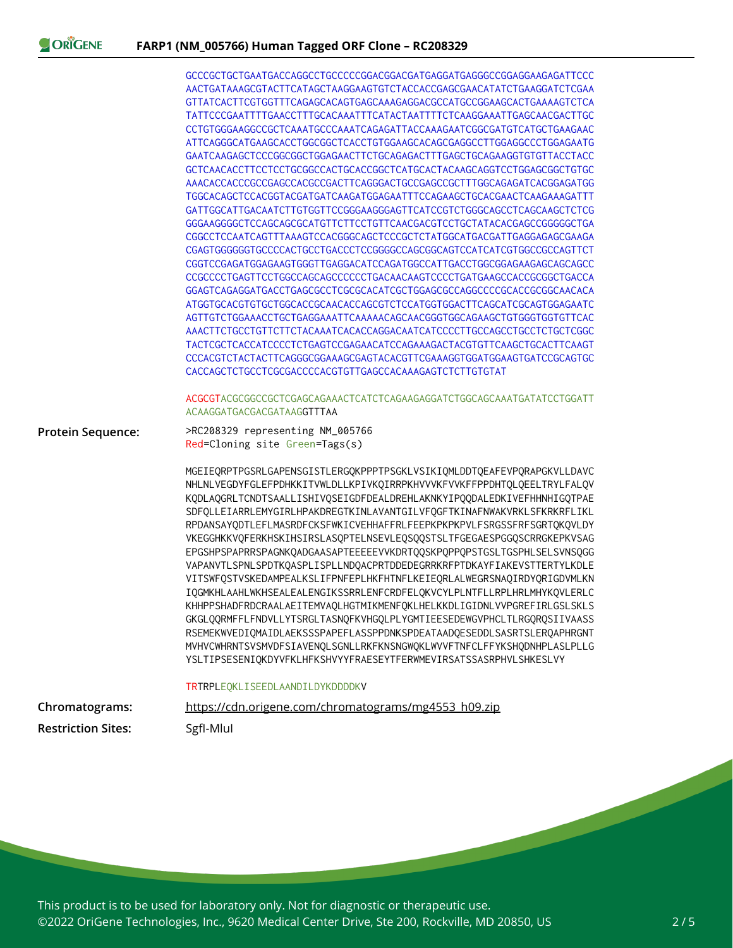|                           | GCCCGCTGCTGAATGACCAGGCCTGCCCCCGGACGGACGATGAGGATGAGGGCCGGAGGAAGAGATTCCC                                                                                                                                                                                                                                                                                                                                                                                                                                                                                                                                                                                                                                                                                                                                                                                                                                                                                                                                                                                                                                                                        |
|---------------------------|-----------------------------------------------------------------------------------------------------------------------------------------------------------------------------------------------------------------------------------------------------------------------------------------------------------------------------------------------------------------------------------------------------------------------------------------------------------------------------------------------------------------------------------------------------------------------------------------------------------------------------------------------------------------------------------------------------------------------------------------------------------------------------------------------------------------------------------------------------------------------------------------------------------------------------------------------------------------------------------------------------------------------------------------------------------------------------------------------------------------------------------------------|
|                           | AACTGATAAAGCGTACTTCATAGCTAAGGAAGTGTCTACCACCGAGCGAACATATCTGAAGGATCTCGAA                                                                                                                                                                                                                                                                                                                                                                                                                                                                                                                                                                                                                                                                                                                                                                                                                                                                                                                                                                                                                                                                        |
|                           | GTTATCACTTCGTGGTTTCAGAGCACAGTGAGCAAAGAGGACGCCATGCCGGAAGCACTGAAAAGTCTCA<br>TATTCCCGAATTTTGAACCTTTGCACAAATTTCATACTAATTTTCTCAAGGAAATTGAGCAACGACTTGC                                                                                                                                                                                                                                                                                                                                                                                                                                                                                                                                                                                                                                                                                                                                                                                                                                                                                                                                                                                              |
|                           |                                                                                                                                                                                                                                                                                                                                                                                                                                                                                                                                                                                                                                                                                                                                                                                                                                                                                                                                                                                                                                                                                                                                               |
|                           | CCTGTGGGAAGGCCGCTCAAATGCCCAAATCAGAGATTACCAAAGAATCGGCGATGTCATGCTGAAGAAC<br>ATTCAGGGCATGAAGCACCTGGCGGCTCACCTGTGGAAGCACAGCGAGGCCTTGGAGGCCCTGGAGAATG                                                                                                                                                                                                                                                                                                                                                                                                                                                                                                                                                                                                                                                                                                                                                                                                                                                                                                                                                                                              |
|                           |                                                                                                                                                                                                                                                                                                                                                                                                                                                                                                                                                                                                                                                                                                                                                                                                                                                                                                                                                                                                                                                                                                                                               |
|                           | GCTCAACACCTTCCTCCTGCGGCCACTGCACCGGCTCATGCACTACAAGCAGGTCCTGGAGCGGCTGTGC                                                                                                                                                                                                                                                                                                                                                                                                                                                                                                                                                                                                                                                                                                                                                                                                                                                                                                                                                                                                                                                                        |
|                           | AAACACCACCCGCCGAGCCACGCCGACTTCAGGGACTGCCGAGCCGCTTTGGCAGAGATCACGGAGATGG                                                                                                                                                                                                                                                                                                                                                                                                                                                                                                                                                                                                                                                                                                                                                                                                                                                                                                                                                                                                                                                                        |
|                           |                                                                                                                                                                                                                                                                                                                                                                                                                                                                                                                                                                                                                                                                                                                                                                                                                                                                                                                                                                                                                                                                                                                                               |
|                           | GATTGGCATTGACAATCTTGTGGTTCCGGGAAGGGAGTTCATCCGTCTGGGCAGCCTCAGCAAGCTCTCG                                                                                                                                                                                                                                                                                                                                                                                                                                                                                                                                                                                                                                                                                                                                                                                                                                                                                                                                                                                                                                                                        |
|                           | GGGAAGGGGCTCCAGCAGCGCATGTTCTTCCTGTTCAACGACGTCCTGCTATACACGAGCCGGGGGCTGA                                                                                                                                                                                                                                                                                                                                                                                                                                                                                                                                                                                                                                                                                                                                                                                                                                                                                                                                                                                                                                                                        |
|                           | CGGCCTCCAATCAGTTTAAAGTCCACGGGCAGCTCCCGCTCTATGGCATGACGATTGAGGAGAGCGAAGA                                                                                                                                                                                                                                                                                                                                                                                                                                                                                                                                                                                                                                                                                                                                                                                                                                                                                                                                                                                                                                                                        |
|                           | CGAGTGGGGGGTGCCCCACTGCCTGACCCTCCGGGGCCAGCGGCAGTCCATCATCGTGGCCGCCAGTTCT                                                                                                                                                                                                                                                                                                                                                                                                                                                                                                                                                                                                                                                                                                                                                                                                                                                                                                                                                                                                                                                                        |
|                           | CGGTCCGAGATGGAGAAGTGGGTTGAGGACATCCAGATGGCCATTGACCTGGCGGAGAAGAGCAGCAGCC                                                                                                                                                                                                                                                                                                                                                                                                                                                                                                                                                                                                                                                                                                                                                                                                                                                                                                                                                                                                                                                                        |
|                           | CCGCCCCTGAGTTCCTGGCCAGCAGCCCCCCTGACAACAAGTCCCCTGATGAAGCCACCGCGGCTGACCA                                                                                                                                                                                                                                                                                                                                                                                                                                                                                                                                                                                                                                                                                                                                                                                                                                                                                                                                                                                                                                                                        |
|                           | GGAGTCAGAGGATGACCTGAGCGCCTCGCGCACATCGCTGGAGCGCCAGGCCCCGCACCGCGCAACACA                                                                                                                                                                                                                                                                                                                                                                                                                                                                                                                                                                                                                                                                                                                                                                                                                                                                                                                                                                                                                                                                         |
|                           | ATGGTGCACGTGTGCTGGCACCGCAACACCAGCGTCTCCATGGTGGACTTCAGCATCGCAGTGGAGAATC                                                                                                                                                                                                                                                                                                                                                                                                                                                                                                                                                                                                                                                                                                                                                                                                                                                                                                                                                                                                                                                                        |
|                           | AGTTGTCTGGAAACCTGCTGAGGAAATTCAAAAACAGCAACGGGTGGCAGAAGCTGTGGGTGTGTTCAC                                                                                                                                                                                                                                                                                                                                                                                                                                                                                                                                                                                                                                                                                                                                                                                                                                                                                                                                                                                                                                                                         |
|                           |                                                                                                                                                                                                                                                                                                                                                                                                                                                                                                                                                                                                                                                                                                                                                                                                                                                                                                                                                                                                                                                                                                                                               |
|                           | TACTCGCTCACCATCCCCTCTGAGTCCGAGAACATCCAGAAAGACTACGTGTTCAAGCTGCACTTCAAGT                                                                                                                                                                                                                                                                                                                                                                                                                                                                                                                                                                                                                                                                                                                                                                                                                                                                                                                                                                                                                                                                        |
|                           |                                                                                                                                                                                                                                                                                                                                                                                                                                                                                                                                                                                                                                                                                                                                                                                                                                                                                                                                                                                                                                                                                                                                               |
|                           | CACCAGCTCTGCCTCGCGACCCCACGTGTTGAGCCACAAAGAGTCTCTTGTGTAT                                                                                                                                                                                                                                                                                                                                                                                                                                                                                                                                                                                                                                                                                                                                                                                                                                                                                                                                                                                                                                                                                       |
|                           |                                                                                                                                                                                                                                                                                                                                                                                                                                                                                                                                                                                                                                                                                                                                                                                                                                                                                                                                                                                                                                                                                                                                               |
|                           | ACGCGTACGCGGCCGCTCGAGCAGAAACTCATCTCAGAAGAGGATCTGGCAGCAAATGATATCCTGGATT<br>ACAAGGATGACGACGATAAGGTTTAA                                                                                                                                                                                                                                                                                                                                                                                                                                                                                                                                                                                                                                                                                                                                                                                                                                                                                                                                                                                                                                          |
| <b>Protein Sequence:</b>  | >RC208329 representing NM_005766                                                                                                                                                                                                                                                                                                                                                                                                                                                                                                                                                                                                                                                                                                                                                                                                                                                                                                                                                                                                                                                                                                              |
|                           | Red=Cloning site Green=Tags(s)                                                                                                                                                                                                                                                                                                                                                                                                                                                                                                                                                                                                                                                                                                                                                                                                                                                                                                                                                                                                                                                                                                                |
|                           | MGEIEQRPTPGSRLGAPENSGISTLERGQKPPPTPSGKLVSIKIQMLDDTQEAFEVPQRAPGKVLLDAVC<br>NHLNLVEGDYFGLEFPDHKKITVWLDLLKPIVKQIRRPKHVVVKFVVKFFPPDHTQLQEELTRYLFALQV<br>KQDLAQGRLTCNDTSAALLISHIVQSEIGDFDEALDREHLAKNKYIPQQDALEDKIVEFHHNHIGQTPAE<br>SDFQLLEIARRLEMYGIRLHPAKDREGTKINLAVANTGILVFQGFTKINAFNWAKVRKLSFKRKRFLIKL<br>RPDANSAYQDTLEFLMASRDFCKSFWKICVEHHAFFRLFEEPKPKPKPVLFSRGSSFRFSGRTQKQVLDY<br>VKEGGHKKVQFERKHSKIHSIRSLASQPTELNSEVLEQSQQSTSLTFGEGAESPGGQSCRRGKEPKVSAG<br>EPGSHPSPAPRRSPAGNKQADGAASAPTEEEEEVVKDRTQQSKPQPPQPSTGSLTGSPHLSELSVNSQGG<br>VAPANVTLSPNLSPDTKQASPLISPLLNDQACPRTDDEDEGRRKRFPTDKAYFIAKEVSTTERTYLKDLE<br>VITSWFQSTVSKEDAMPEALKSLIFPNFEPLHKFHTNFLKEIEQRLALWEGRSNAQIRDYQRIGDVMLKN<br>IQGMKHLAAHLWKHSEALEALENGIKSSRRLENFCRDFELQKVCYLPLNTFLLRPLHRLMHYKQVLERLC<br>KHHPPSHADFRDCRAALAEITEMVAQLHGTMIKMENFQKLHELKKDLIGIDNLVVPGREFIRLGSLSKLS<br>GKGLQQRMFFLFNDVLLYTSRGLTASNQFKVHGQLPLYGMTIEESEDEWGVPHCLTLRGQRQSIIVAASS<br>RSEMEKWVEDIQMAIDLAEKSSSPAPEFLASSPPDNKSPDEATAADQESEDDLSASRTSLERQAPHRGNT<br>MVHVCWHRNTSVSMVDFSIAVENQLSGNLLRKFKNSNGWQKLWVVFTNFCLFFYKSHQDNHPLASLPLLG<br>YSLTIPSESENIQKDYVFKLHFKSHVYYFRAESEYTFERWMEVIRSATSSASRPHVLSHKESLVY |
| Chromatograms:            | TRTRPLEQKLISEEDLAANDILDYKDDDDKV<br>https://cdn.origene.com/chromatograms/mg4553 h09.zip                                                                                                                                                                                                                                                                                                                                                                                                                                                                                                                                                                                                                                                                                                                                                                                                                                                                                                                                                                                                                                                       |
| <b>Restriction Sites:</b> | SgfI-Mlul                                                                                                                                                                                                                                                                                                                                                                                                                                                                                                                                                                                                                                                                                                                                                                                                                                                                                                                                                                                                                                                                                                                                     |
|                           |                                                                                                                                                                                                                                                                                                                                                                                                                                                                                                                                                                                                                                                                                                                                                                                                                                                                                                                                                                                                                                                                                                                                               |

This product is to be used for laboratory only. Not for diagnostic or therapeutic use. ©2022 OriGene Technologies, Inc., 9620 Medical Center Drive, Ste 200, Rockville, MD 20850, US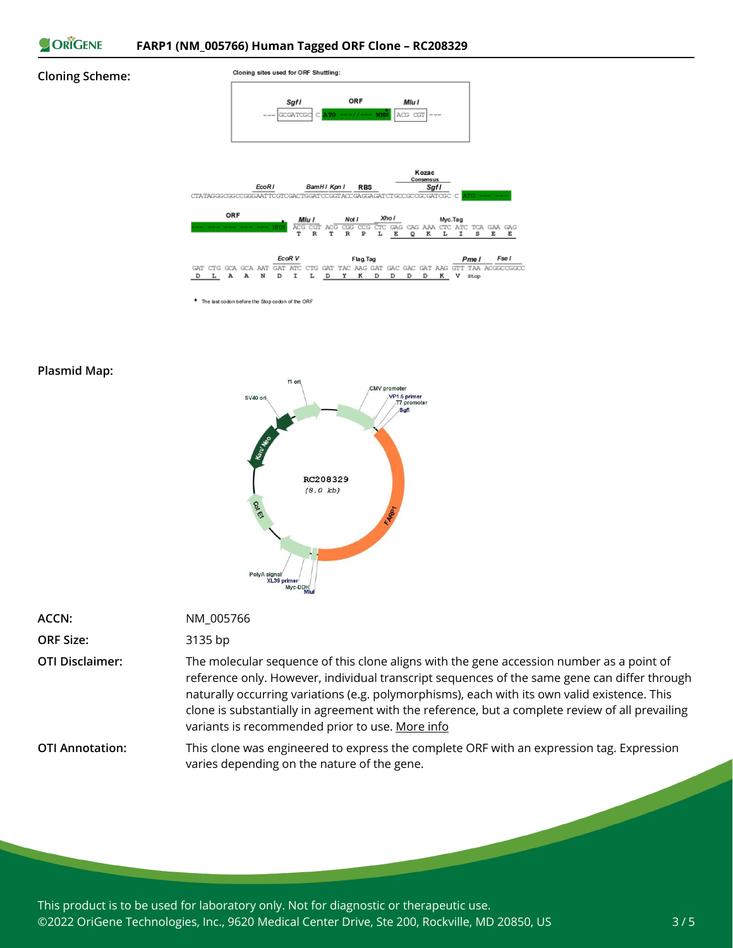

#### **Cloning Scheme:**



\* The last codon before the Stop codon of the ORF

#### **Plasmid Map:**



| ACCN:            | NM 005766 |
|------------------|-----------|
| <b>ORF Size:</b> | 3135 bp   |

**OTI Disclaimer:** The molecular sequence of this clone aligns with the gene accession number as a point of reference only. However, individual transcript sequences of the same gene can differ through naturally occurring variations (e.g. polymorphisms), each with its own valid existence. This clone is substantially in agreement with the reference, but a complete review of all prevailing variants is recommended prior to use. [More](https://www.ncbi.nlm.nih.gov/books/NBK21088/) info

**OTI Annotation:** This clone was engineered to express the complete ORF with an expression tag. Expression varies depending on the nature of the gene.

This product is to be used for laboratory only. Not for diagnostic or therapeutic use. ©2022 OriGene Technologies, Inc., 9620 Medical Center Drive, Ste 200, Rockville, MD 20850, US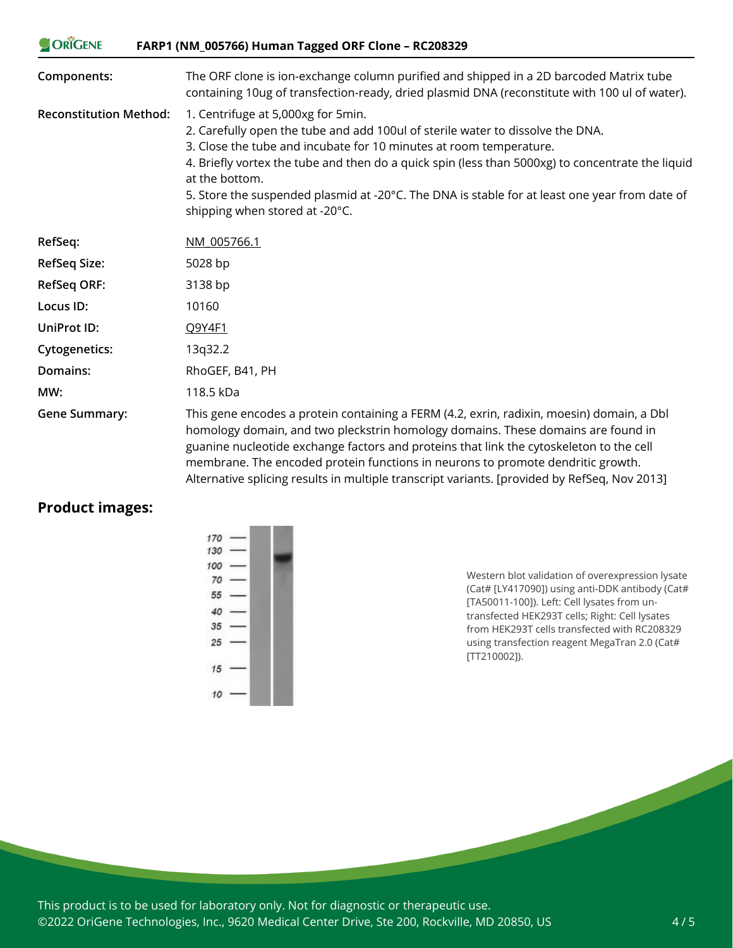| <b>ORIGENE</b>                | FARP1 (NM_005766) Human Tagged ORF Clone - RC208329                                                                                                                                                                                                                                                                                                                                                                                                 |
|-------------------------------|-----------------------------------------------------------------------------------------------------------------------------------------------------------------------------------------------------------------------------------------------------------------------------------------------------------------------------------------------------------------------------------------------------------------------------------------------------|
| Components:                   | The ORF clone is ion-exchange column purified and shipped in a 2D barcoded Matrix tube<br>containing 10ug of transfection-ready, dried plasmid DNA (reconstitute with 100 ul of water).                                                                                                                                                                                                                                                             |
| <b>Reconstitution Method:</b> | 1. Centrifuge at 5,000xg for 5min.<br>2. Carefully open the tube and add 100ul of sterile water to dissolve the DNA.<br>3. Close the tube and incubate for 10 minutes at room temperature.<br>4. Briefly vortex the tube and then do a quick spin (less than 5000xg) to concentrate the liquid<br>at the bottom.<br>5. Store the suspended plasmid at -20°C. The DNA is stable for at least one year from date of<br>shipping when stored at -20°C. |
| RefSeq:                       | NM 005766.1                                                                                                                                                                                                                                                                                                                                                                                                                                         |
| <b>RefSeq Size:</b>           | 5028 bp                                                                                                                                                                                                                                                                                                                                                                                                                                             |
| <b>RefSeq ORF:</b>            | 3138 bp                                                                                                                                                                                                                                                                                                                                                                                                                                             |
| Locus ID:                     | 10160                                                                                                                                                                                                                                                                                                                                                                                                                                               |
| <b>UniProt ID:</b>            | Q9Y4F1                                                                                                                                                                                                                                                                                                                                                                                                                                              |
| Cytogenetics:                 | 13q32.2                                                                                                                                                                                                                                                                                                                                                                                                                                             |
| Domains:                      | RhoGEF, B41, PH                                                                                                                                                                                                                                                                                                                                                                                                                                     |
| MW:                           | 118.5 kDa                                                                                                                                                                                                                                                                                                                                                                                                                                           |
| <b>Gene Summary:</b>          | This gene encodes a protein containing a FERM (4.2, exrin, radixin, moesin) domain, a Dbl<br>homology domain, and two pleckstrin homology domains. These domains are found in<br>guanine nucleotide exchange factors and proteins that link the cytoskeleton to the cell<br>membrane. The encoded protein functions in neurons to promote dendritic growth.                                                                                         |

Alternative splicing results in multiple transcript variants. [provided by RefSeq, Nov 2013]

## **Product images:**

 $\sim$   $\sqrt{2}$ 

Western blot validation of overexpression lysate (Cat# [LY417090]) using anti-DDK antibody (Cat# [TA50011-100]). Left: Cell lysates from untransfected HEK293T cells; Right: Cell lysates from HEK293T cells transfected with RC208329 using transfection reagent MegaTran 2.0 (Cat# [TT210002]).

This product is to be used for laboratory only. Not for diagnostic or therapeutic use. ©2022 OriGene Technologies, Inc., 9620 Medical Center Drive, Ste 200, Rockville, MD 20850, US